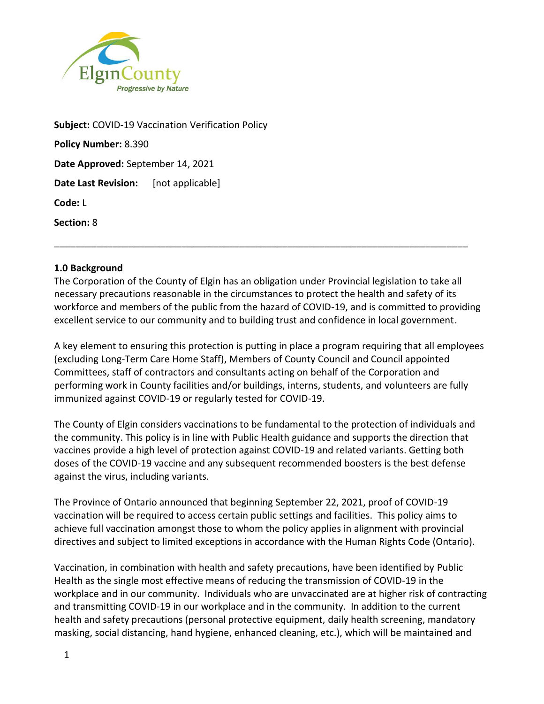

**Subject:** COVID-19 Vaccination Verification Policy **Policy Number:** 8.390 **Date Approved:** September 14, 2021 **Date Last Revision:** [not applicable] **Code:** L **Section:** 8

#### **1.0 Background**

The Corporation of the County of Elgin has an obligation under Provincial legislation to take all necessary precautions reasonable in the circumstances to protect the health and safety of its workforce and members of the public from the hazard of COVID-19, and is committed to providing excellent service to our community and to building trust and confidence in local government.

\_\_\_\_\_\_\_\_\_\_\_\_\_\_\_\_\_\_\_\_\_\_\_\_\_\_\_\_\_\_\_\_\_\_\_\_\_\_\_\_\_\_\_\_\_\_\_\_\_\_\_\_\_\_\_\_\_\_\_\_\_\_\_\_\_\_\_\_\_\_\_\_\_\_\_\_\_\_

A key element to ensuring this protection is putting in place a program requiring that all employees (excluding Long-Term Care Home Staff), Members of County Council and Council appointed Committees, staff of contractors and consultants acting on behalf of the Corporation and performing work in County facilities and/or buildings, interns, students, and volunteers are fully immunized against COVID-19 or regularly tested for COVID-19.

The County of Elgin considers vaccinations to be fundamental to the protection of individuals and the community. This policy is in line with Public Health guidance and supports the direction that vaccines provide a high level of protection against COVID-19 and related variants. Getting both doses of the COVID-19 vaccine and any subsequent recommended boosters is the best defense against the virus, including variants.

The Province of Ontario announced that beginning September 22, 2021, proof of COVID-19 vaccination will be required to access certain public settings and facilities. This policy aims to achieve full vaccination amongst those to whom the policy applies in alignment with provincial directives and subject to limited exceptions in accordance with the Human Rights Code (Ontario).

Vaccination, in combination with health and safety precautions, have been identified by Public Health as the single most effective means of reducing the transmission of COVID-19 in the workplace and in our community. Individuals who are unvaccinated are at higher risk of contracting and transmitting COVID-19 in our workplace and in the community. In addition to the current health and safety precautions (personal protective equipment, daily health screening, mandatory masking, social distancing, hand hygiene, enhanced cleaning, etc.), which will be maintained and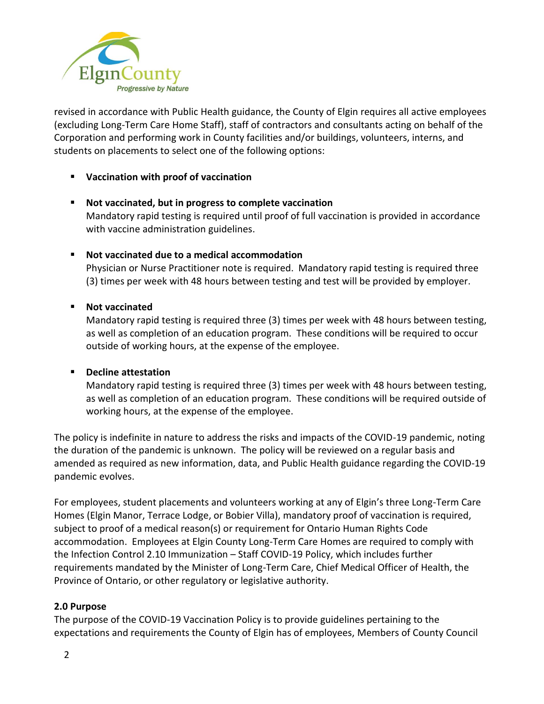

revised in accordance with Public Health guidance, the County of Elgin requires all active employees (excluding Long-Term Care Home Staff), staff of contractors and consultants acting on behalf of the Corporation and performing work in County facilities and/or buildings, volunteers, interns, and students on placements to select one of the following options:

# ▪ **Vaccination with proof of vaccination**

- **Not vaccinated, but in progress to complete vaccination** Mandatory rapid testing is required until proof of full vaccination is provided in accordance with vaccine administration guidelines.
- **Not vaccinated due to a medical accommodation**

Physician or Nurse Practitioner note is required. Mandatory rapid testing is required three (3) times per week with 48 hours between testing and test will be provided by employer.

# ▪ **Not vaccinated**

Mandatory rapid testing is required three (3) times per week with 48 hours between testing, as well as completion of an education program. These conditions will be required to occur outside of working hours, at the expense of the employee.

#### ▪ **Decline attestation**

Mandatory rapid testing is required three (3) times per week with 48 hours between testing, as well as completion of an education program. These conditions will be required outside of working hours, at the expense of the employee.

The policy is indefinite in nature to address the risks and impacts of the COVID-19 pandemic, noting the duration of the pandemic is unknown. The policy will be reviewed on a regular basis and amended as required as new information, data, and Public Health guidance regarding the COVID-19 pandemic evolves.

For employees, student placements and volunteers working at any of Elgin's three Long-Term Care Homes (Elgin Manor, Terrace Lodge, or Bobier Villa), mandatory proof of vaccination is required, subject to proof of a medical reason(s) or requirement for Ontario Human Rights Code accommodation. Employees at Elgin County Long-Term Care Homes are required to comply with the Infection Control 2.10 Immunization – Staff COVID-19 Policy, which includes further requirements mandated by the Minister of Long-Term Care, Chief Medical Officer of Health, the Province of Ontario, or other regulatory or legislative authority.

# **2.0 Purpose**

The purpose of the COVID-19 Vaccination Policy is to provide guidelines pertaining to the expectations and requirements the County of Elgin has of employees, Members of County Council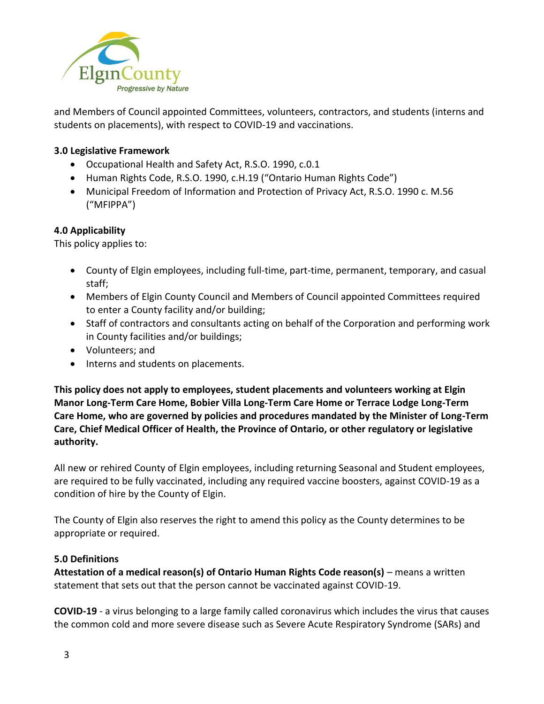

and Members of Council appointed Committees, volunteers, contractors, and students (interns and students on placements), with respect to COVID-19 and vaccinations.

## **3.0 Legislative Framework**

- Occupational Health and Safety Act, R.S.O. 1990, c.0.1
- Human Rights Code, R.S.O. 1990, c.H.19 ("Ontario Human Rights Code")
- Municipal Freedom of Information and Protection of Privacy Act, R.S.O. 1990 c. M.56 ("MFIPPA")

# **4.0 Applicability**

This policy applies to:

- County of Elgin employees, including full-time, part-time, permanent, temporary, and casual staff;
- Members of Elgin County Council and Members of Council appointed Committees required to enter a County facility and/or building;
- Staff of contractors and consultants acting on behalf of the Corporation and performing work in County facilities and/or buildings;
- Volunteers; and
- Interns and students on placements.

**This policy does not apply to employees, student placements and volunteers working at Elgin Manor Long-Term Care Home, Bobier Villa Long-Term Care Home or Terrace Lodge Long-Term Care Home, who are governed by policies and procedures mandated by the Minister of Long-Term Care, Chief Medical Officer of Health, the Province of Ontario, or other regulatory or legislative authority.**

All new or rehired County of Elgin employees, including returning Seasonal and Student employees, are required to be fully vaccinated, including any required vaccine boosters, against COVID-19 as a condition of hire by the County of Elgin.

The County of Elgin also reserves the right to amend this policy as the County determines to be appropriate or required.

# **5.0 Definitions**

**Attestation of a medical reason(s) of Ontario Human Rights Code reason(s)** – means a written statement that sets out that the person cannot be vaccinated against COVID-19.

**COVID-19** - a virus belonging to a large family called coronavirus which includes the virus that causes the common cold and more severe disease such as Severe Acute Respiratory Syndrome (SARs) and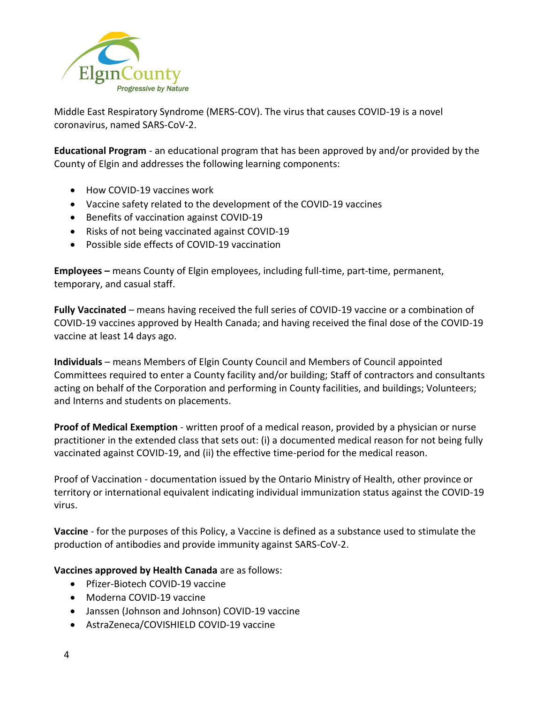

Middle East Respiratory Syndrome (MERS-COV). The virus that causes COVID-19 is a novel coronavirus, named SARS-CoV-2.

**Educational Program** - an educational program that has been approved by and/or provided by the County of Elgin and addresses the following learning components:

- How COVID-19 vaccines work
- Vaccine safety related to the development of the COVID-19 vaccines
- Benefits of vaccination against COVID-19
- Risks of not being vaccinated against COVID-19
- Possible side effects of COVID-19 vaccination

**Employees –** means County of Elgin employees, including full-time, part-time, permanent, temporary, and casual staff.

**Fully Vaccinated** – means having received the full series of COVID-19 vaccine or a combination of COVID-19 vaccines approved by Health Canada; and having received the final dose of the COVID-19 vaccine at least 14 days ago.

**Individuals** – means Members of Elgin County Council and Members of Council appointed Committees required to enter a County facility and/or building; Staff of contractors and consultants acting on behalf of the Corporation and performing in County facilities, and buildings; Volunteers; and Interns and students on placements.

**Proof of Medical Exemption** - written proof of a medical reason, provided by a physician or nurse practitioner in the extended class that sets out: (i) a documented medical reason for not being fully vaccinated against COVID-19, and (ii) the effective time-period for the medical reason.

Proof of Vaccination - documentation issued by the Ontario Ministry of Health, other province or territory or international equivalent indicating individual immunization status against the COVID-19 virus.

**Vaccine** - for the purposes of this Policy, a Vaccine is defined as a substance used to stimulate the production of antibodies and provide immunity against SARS-CoV-2.

#### **Vaccines approved by Health Canada** are as follows:

- Pfizer-Biotech COVID-19 vaccine
- Moderna COVID-19 vaccine
- Janssen (Johnson and Johnson) COVID-19 vaccine
- AstraZeneca/COVISHIELD COVID-19 vaccine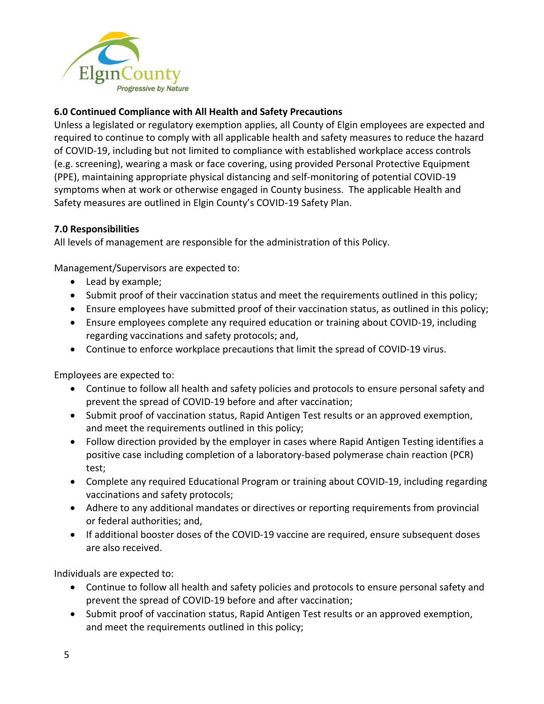

# **6.0 Continued Compliance with All Health and Safety Precautions**

Unless a legislated or regulatory exemption applies, all County of Elgin employees are expected and required to continue to comply with all applicable health and safety measures to reduce the hazard of COVID-19, including but not limited to compliance with established workplace access controls (e.g. screening), wearing a mask or face covering, using provided Personal Protective Equipment (PPE), maintaining appropriate physical distancing and self-monitoring of potential COVID-19 symptoms when at work or otherwise engaged in County business. The applicable Health and Safety measures are outlined in Elgin County's COVID-19 Safety Plan.

## **7.0 Responsibilities**

All levels of management are responsible for the administration of this Policy.

Management/Supervisors are expected to:

- Lead by example;
- Submit proof of their vaccination status and meet the requirements outlined in this policy;
- Ensure employees have submitted proof of their vaccination status, as outlined in this policy;
- Ensure employees complete any required education or training about COVID-19, including regarding vaccinations and safety protocols; and,
- Continue to enforce workplace precautions that limit the spread of COVID-19 virus.

Employees are expected to:

- Continue to follow all health and safety policies and protocols to ensure personal safety and prevent the spread of COVID-19 before and after vaccination;
- Submit proof of vaccination status, Rapid Antigen Test results or an approved exemption, and meet the requirements outlined in this policy;
- Follow direction provided by the employer in cases where Rapid Antigen Testing identifies a positive case including completion of a laboratory-based polymerase chain reaction (PCR) test;
- Complete any required Educational Program or training about COVID-19, including regarding vaccinations and safety protocols;
- Adhere to any additional mandates or directives or reporting requirements from provincial or federal authorities; and,
- If additional booster doses of the COVID-19 vaccine are required, ensure subsequent doses are also received.

Individuals are expected to:

- Continue to follow all health and safety policies and protocols to ensure personal safety and prevent the spread of COVID-19 before and after vaccination;
- Submit proof of vaccination status, Rapid Antigen Test results or an approved exemption, and meet the requirements outlined in this policy;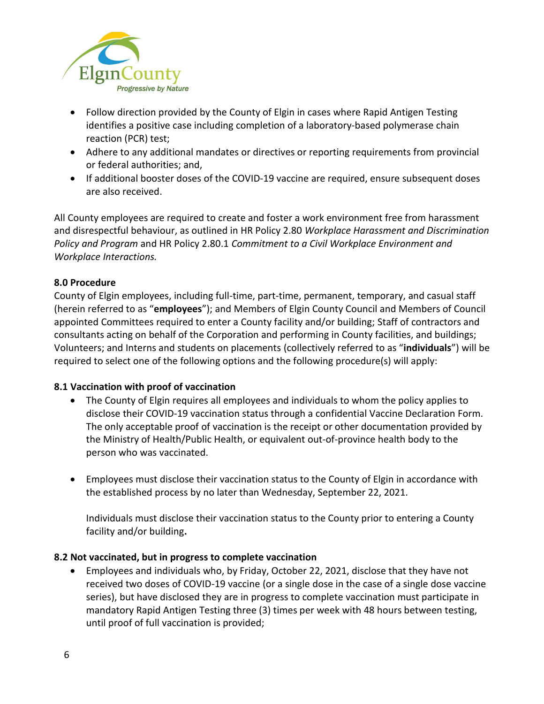

- Follow direction provided by the County of Elgin in cases where Rapid Antigen Testing identifies a positive case including completion of a laboratory-based polymerase chain reaction (PCR) test;
- Adhere to any additional mandates or directives or reporting requirements from provincial or federal authorities; and,
- If additional booster doses of the COVID-19 vaccine are required, ensure subsequent doses are also received.

All County employees are required to create and foster a work environment free from harassment and disrespectful behaviour, as outlined in HR Policy 2.80 *Workplace Harassment and Discrimination Policy and Program* and HR Policy 2.80.1 *Commitment to a Civil Workplace Environment and Workplace Interactions.* 

## **8.0 Procedure**

County of Elgin employees, including full-time, part-time, permanent, temporary, and casual staff (herein referred to as "**employees**"); and Members of Elgin County Council and Members of Council appointed Committees required to enter a County facility and/or building; Staff of contractors and consultants acting on behalf of the Corporation and performing in County facilities, and buildings; Volunteers; and Interns and students on placements (collectively referred to as "**individuals**") will be required to select one of the following options and the following procedure(s) will apply:

# **8.1 Vaccination with proof of vaccination**

- The County of Elgin requires all employees and individuals to whom the policy applies to disclose their COVID-19 vaccination status through a confidential Vaccine Declaration Form. The only acceptable proof of vaccination is the receipt or other documentation provided by the Ministry of Health/Public Health, or equivalent out-of-province health body to the person who was vaccinated.
- Employees must disclose their vaccination status to the County of Elgin in accordance with the established process by no later than Wednesday, September 22, 2021.

Individuals must disclose their vaccination status to the County prior to entering a County facility and/or building**.**

#### **8.2 Not vaccinated, but in progress to complete vaccination**

• Employees and individuals who, by Friday, October 22, 2021, disclose that they have not received two doses of COVID-19 vaccine (or a single dose in the case of a single dose vaccine series), but have disclosed they are in progress to complete vaccination must participate in mandatory Rapid Antigen Testing three (3) times per week with 48 hours between testing, until proof of full vaccination is provided;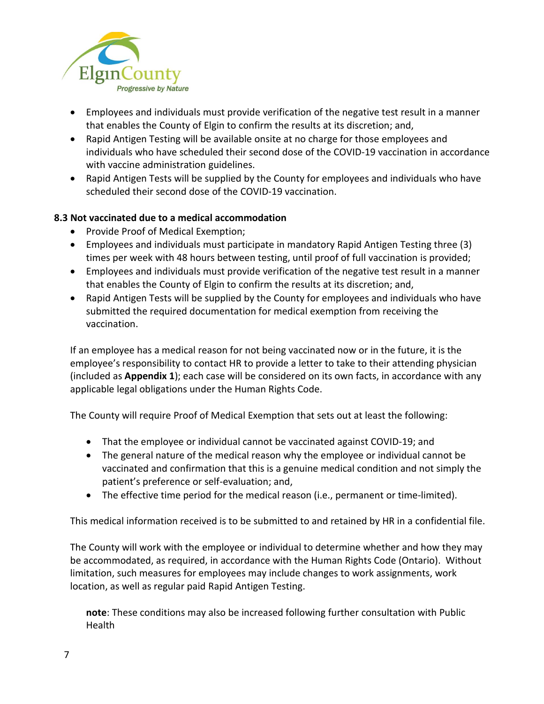

- Employees and individuals must provide verification of the negative test result in a manner that enables the County of Elgin to confirm the results at its discretion; and,
- Rapid Antigen Testing will be available onsite at no charge for those employees and individuals who have scheduled their second dose of the COVID-19 vaccination in accordance with vaccine administration guidelines.
- Rapid Antigen Tests will be supplied by the County for employees and individuals who have scheduled their second dose of the COVID-19 vaccination.

# **8.3 Not vaccinated due to a medical accommodation**

- Provide Proof of Medical Exemption;
- Employees and individuals must participate in mandatory Rapid Antigen Testing three (3) times per week with 48 hours between testing, until proof of full vaccination is provided;
- Employees and individuals must provide verification of the negative test result in a manner that enables the County of Elgin to confirm the results at its discretion; and,
- Rapid Antigen Tests will be supplied by the County for employees and individuals who have submitted the required documentation for medical exemption from receiving the vaccination.

If an employee has a medical reason for not being vaccinated now or in the future, it is the employee's responsibility to contact HR to provide a letter to take to their attending physician (included as **Appendix 1**); each case will be considered on its own facts, in accordance with any applicable legal obligations under the Human Rights Code.

The County will require Proof of Medical Exemption that sets out at least the following:

- That the employee or individual cannot be vaccinated against COVID-19; and
- The general nature of the medical reason why the employee or individual cannot be vaccinated and confirmation that this is a genuine medical condition and not simply the patient's preference or self-evaluation; and,
- The effective time period for the medical reason (i.e., permanent or time-limited).

This medical information received is to be submitted to and retained by HR in a confidential file.

The County will work with the employee or individual to determine whether and how they may be accommodated, as required, in accordance with the Human Rights Code (Ontario). Without limitation, such measures for employees may include changes to work assignments, work location, as well as regular paid Rapid Antigen Testing.

**note**: These conditions may also be increased following further consultation with Public Health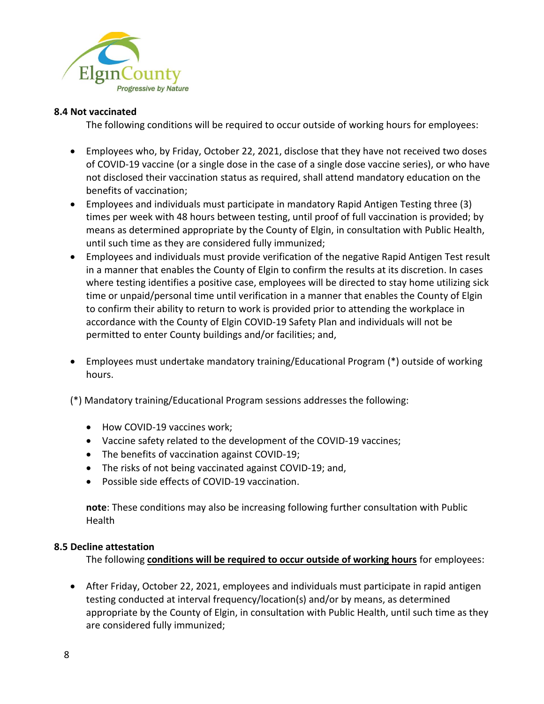

#### **8.4 Not vaccinated**

The following conditions will be required to occur outside of working hours for employees:

- Employees who, by Friday, October 22, 2021, disclose that they have not received two doses of COVID-19 vaccine (or a single dose in the case of a single dose vaccine series), or who have not disclosed their vaccination status as required, shall attend mandatory education on the benefits of vaccination;
- Employees and individuals must participate in mandatory Rapid Antigen Testing three (3) times per week with 48 hours between testing, until proof of full vaccination is provided; by means as determined appropriate by the County of Elgin, in consultation with Public Health, until such time as they are considered fully immunized;
- Employees and individuals must provide verification of the negative Rapid Antigen Test result in a manner that enables the County of Elgin to confirm the results at its discretion. In cases where testing identifies a positive case, employees will be directed to stay home utilizing sick time or unpaid/personal time until verification in a manner that enables the County of Elgin to confirm their ability to return to work is provided prior to attending the workplace in accordance with the County of Elgin COVID-19 Safety Plan and individuals will not be permitted to enter County buildings and/or facilities; and,
- Employees must undertake mandatory training/Educational Program (\*) outside of working hours.

(\*) Mandatory training/Educational Program sessions addresses the following:

- How COVID-19 vaccines work;
- Vaccine safety related to the development of the COVID-19 vaccines;
- The benefits of vaccination against COVID-19;
- The risks of not being vaccinated against COVID-19; and,
- Possible side effects of COVID-19 vaccination.

**note**: These conditions may also be increasing following further consultation with Public Health

#### **8.5 Decline attestation**

The following **conditions will be required to occur outside of working hours** for employees:

• After Friday, October 22, 2021, employees and individuals must participate in rapid antigen testing conducted at interval frequency/location(s) and/or by means, as determined appropriate by the County of Elgin, in consultation with Public Health, until such time as they are considered fully immunized;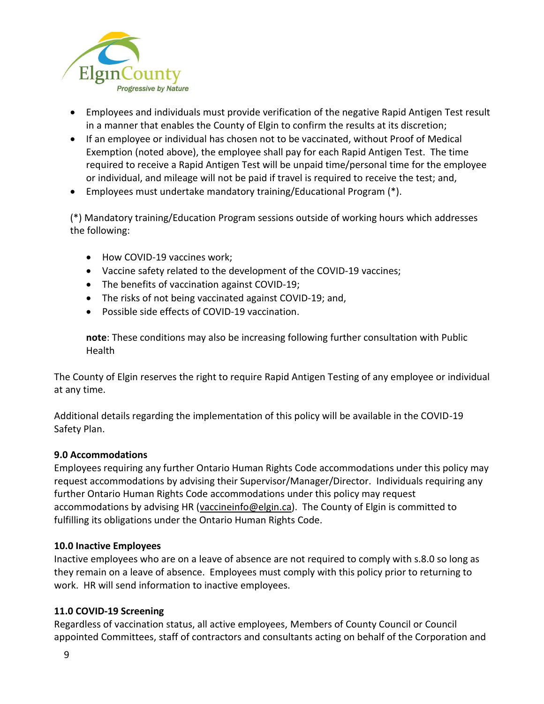

- Employees and individuals must provide verification of the negative Rapid Antigen Test result in a manner that enables the County of Elgin to confirm the results at its discretion;
- If an employee or individual has chosen not to be vaccinated, without Proof of Medical Exemption (noted above), the employee shall pay for each Rapid Antigen Test. The time required to receive a Rapid Antigen Test will be unpaid time/personal time for the employee or individual, and mileage will not be paid if travel is required to receive the test; and,
- Employees must undertake mandatory training/Educational Program (\*).

(\*) Mandatory training/Education Program sessions outside of working hours which addresses the following:

- How COVID-19 vaccines work;
- Vaccine safety related to the development of the COVID-19 vaccines;
- The benefits of vaccination against COVID-19;
- The risks of not being vaccinated against COVID-19; and,
- Possible side effects of COVID-19 vaccination.

**note**: These conditions may also be increasing following further consultation with Public Health

The County of Elgin reserves the right to require Rapid Antigen Testing of any employee or individual at any time.

Additional details regarding the implementation of this policy will be available in the COVID-19 Safety Plan.

#### **9.0 Accommodations**

Employees requiring any further Ontario Human Rights Code accommodations under this policy may request accommodations by advising their Supervisor/Manager/Director. Individuals requiring any further Ontario Human Rights Code accommodations under this policy may request accommodations by advising HR [\(vaccineinfo@elgin.ca\)](mailto:vaccineinfo@elgin.ca). The County of Elgin is committed to fulfilling its obligations under the Ontario Human Rights Code.

#### **10.0 Inactive Employees**

Inactive employees who are on a leave of absence are not required to comply with s.8.0 so long as they remain on a leave of absence. Employees must comply with this policy prior to returning to work. HR will send information to inactive employees.

#### **11.0 COVID-19 Screening**

Regardless of vaccination status, all active employees, Members of County Council or Council appointed Committees, staff of contractors and consultants acting on behalf of the Corporation and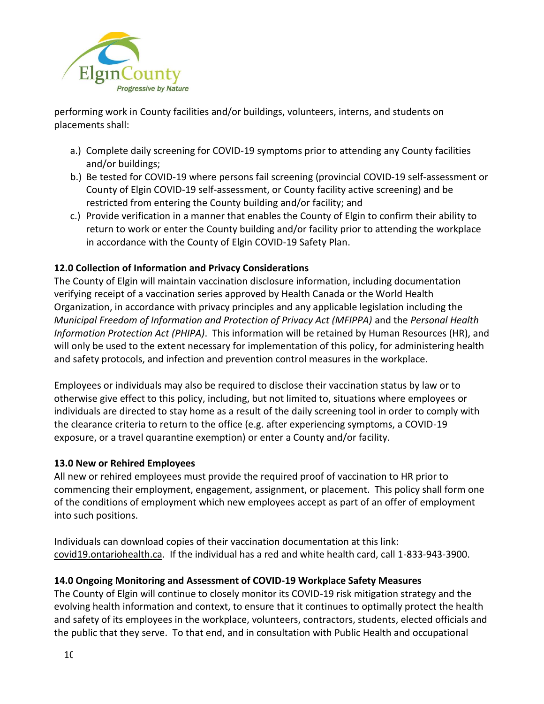

performing work in County facilities and/or buildings, volunteers, interns, and students on placements shall:

- a.) Complete daily screening for COVID-19 symptoms prior to attending any County facilities and/or buildings;
- b.) Be tested for COVID-19 where persons fail screening (provincial COVID-19 self-assessment or County of Elgin COVID-19 self-assessment, or County facility active screening) and be restricted from entering the County building and/or facility; and
- c.) Provide verification in a manner that enables the County of Elgin to confirm their ability to return to work or enter the County building and/or facility prior to attending the workplace in accordance with the County of Elgin COVID-19 Safety Plan.

# **12.0 Collection of Information and Privacy Considerations**

The County of Elgin will maintain vaccination disclosure information, including documentation verifying receipt of a vaccination series approved by Health Canada or the World Health Organization, in accordance with privacy principles and any applicable legislation including the *Municipal Freedom of Information and Protection of Privacy Act (MFIPPA)* and the *Personal Health Information Protection Act (PHIPA)*. This information will be retained by Human Resources (HR), and will only be used to the extent necessary for implementation of this policy, for administering health and safety protocols, and infection and prevention control measures in the workplace.

Employees or individuals may also be required to disclose their vaccination status by law or to otherwise give effect to this policy, including, but not limited to, situations where employees or individuals are directed to stay home as a result of the daily screening tool in order to comply with the clearance criteria to return to the office (e.g. after experiencing symptoms, a COVID-19 exposure, or a travel quarantine exemption) or enter a County and/or facility.

# **13.0 New or Rehired Employees**

All new or rehired employees must provide the required proof of vaccination to HR prior to commencing their employment, engagement, assignment, or placement. This policy shall form one of the conditions of employment which new employees accept as part of an offer of employment into such positions.

Individuals can download copies of their vaccination documentation at this link: [covid19.ontariohealth.ca.](file:///C:/Users/blima/AppData/Local/Microsoft/Windows/INetCache/Content.Outlook/9C0ID6ZD/covid19.ontariohealth.ca) If the individual has a red and white health card, call 1-833-943-3900.

# **14.0 Ongoing Monitoring and Assessment of COVID-19 Workplace Safety Measures**

The County of Elgin will continue to closely monitor its COVID-19 risk mitigation strategy and the evolving health information and context, to ensure that it continues to optimally protect the health and safety of its employees in the workplace, volunteers, contractors, students, elected officials and the public that they serve. To that end, and in consultation with Public Health and occupational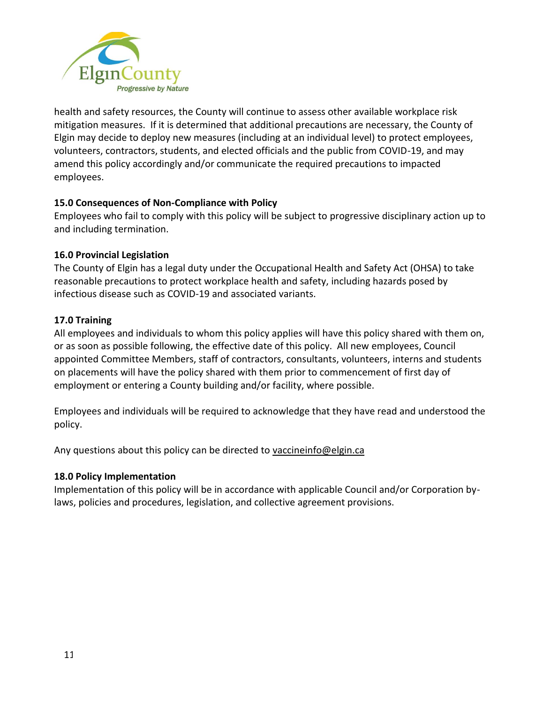

health and safety resources, the County will continue to assess other available workplace risk mitigation measures. If it is determined that additional precautions are necessary, the County of Elgin may decide to deploy new measures (including at an individual level) to protect employees, volunteers, contractors, students, and elected officials and the public from COVID-19, and may amend this policy accordingly and/or communicate the required precautions to impacted employees.

# **15.0 Consequences of Non-Compliance with Policy**

Employees who fail to comply with this policy will be subject to progressive disciplinary action up to and including termination.

#### **16.0 Provincial Legislation**

The County of Elgin has a legal duty under the Occupational Health and Safety Act (OHSA) to take reasonable precautions to protect workplace health and safety, including hazards posed by infectious disease such as COVID-19 and associated variants.

## **17.0 Training**

All employees and individuals to whom this policy applies will have this policy shared with them on, or as soon as possible following, the effective date of this policy. All new employees, Council appointed Committee Members, staff of contractors, consultants, volunteers, interns and students on placements will have the policy shared with them prior to commencement of first day of employment or entering a County building and/or facility, where possible.

Employees and individuals will be required to acknowledge that they have read and understood the policy.

Any questions about this policy can be directed to [vaccineinfo@elgin.ca](mailto:vaccineinfo@elgin.ca)

#### **18.0 Policy Implementation**

Implementation of this policy will be in accordance with applicable Council and/or Corporation bylaws, policies and procedures, legislation, and collective agreement provisions.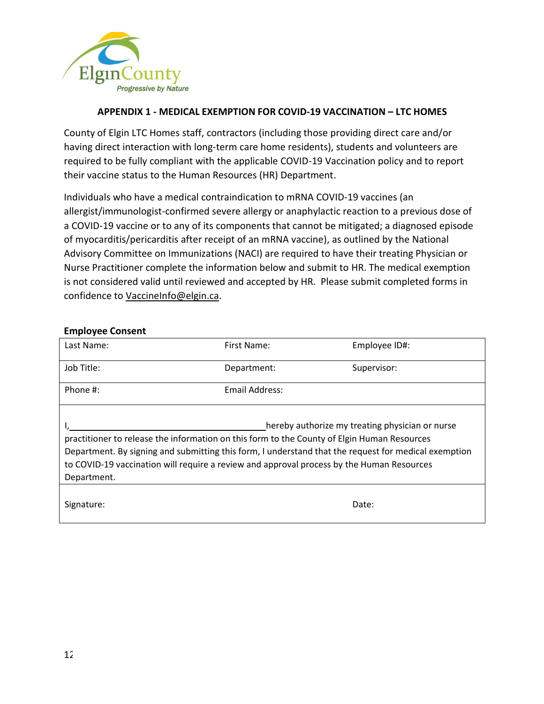

## **APPENDIX 1 - MEDICAL EXEMPTION FOR COVID-19 VACCINATION – LTC HOMES**

County of Elgin LTC Homes staff, contractors (including those providing direct care and/or having direct interaction with long-term care home residents), students and volunteers are required to be fully compliant with the applicable COVID-19 Vaccination policy and to report their vaccine status to the Human Resources (HR) Department.

Individuals who have a medical contraindication to mRNA COVID-19 vaccines (an allergist/immunologist-confirmed severe allergy or anaphylactic reaction to a previous dose of a COVID-19 vaccine or to any of its components that cannot be mitigated; a diagnosed episode of myocarditis/pericarditis after receipt of an mRNA vaccine), as outlined by the National Advisory Committee on Immunizations (NACI) are required to have their treating Physician or Nurse Practitioner complete the information below and submit to HR. The medical exemption is not considered valid until reviewed and accepted by HR. Please submit completed forms in confidence to [VaccineInfo@elgin.ca.](mailto:VaccineInfo@elgin.ca)

#### **Employee Consent**

| Last Name:                                                                                                                                                                                                                                                                                                                                                         | First Name:    | Employee ID#: |  |
|--------------------------------------------------------------------------------------------------------------------------------------------------------------------------------------------------------------------------------------------------------------------------------------------------------------------------------------------------------------------|----------------|---------------|--|
| Job Title:                                                                                                                                                                                                                                                                                                                                                         | Department:    | Supervisor:   |  |
| Phone #:                                                                                                                                                                                                                                                                                                                                                           | Email Address: |               |  |
| hereby authorize my treating physician or nurse<br>practitioner to release the information on this form to the County of Elgin Human Resources<br>Department. By signing and submitting this form, I understand that the request for medical exemption<br>to COVID-19 vaccination will require a review and approval process by the Human Resources<br>Department. |                |               |  |
| Signature:                                                                                                                                                                                                                                                                                                                                                         |                | Date:         |  |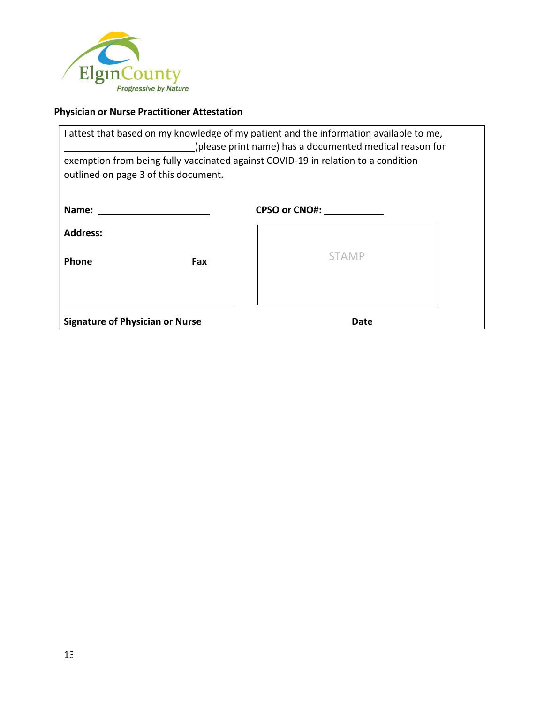

# **Physician or Nurse Practitioner Attestation**

| attest that based on my knowledge of my patient and the information available to me,<br>(please print name) has a documented medical reason for<br>exemption from being fully vaccinated against COVID-19 in relation to a condition<br>outlined on page 3 of this document. |               |  |  |
|------------------------------------------------------------------------------------------------------------------------------------------------------------------------------------------------------------------------------------------------------------------------------|---------------|--|--|
| Name:                                                                                                                                                                                                                                                                        | CPSO or CNO#: |  |  |
| <b>Address:</b>                                                                                                                                                                                                                                                              |               |  |  |
| Phone<br>Fax                                                                                                                                                                                                                                                                 | <b>STAMP</b>  |  |  |
| <b>Signature of Physician or Nurse</b>                                                                                                                                                                                                                                       | Date          |  |  |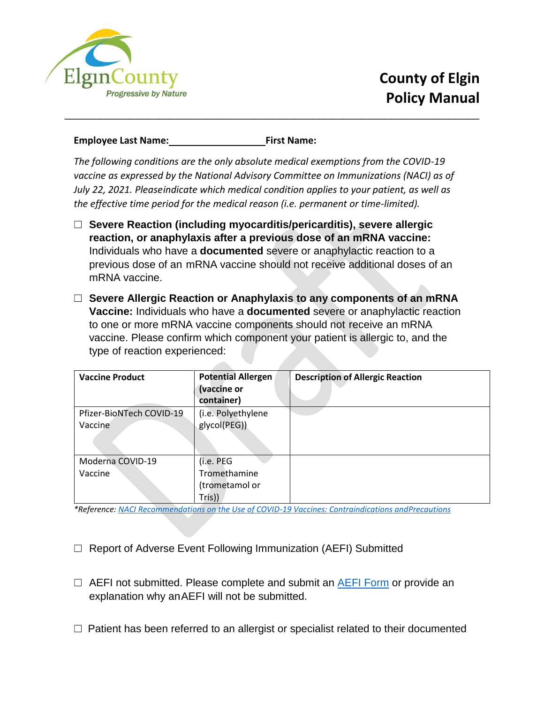

## **Employee Last Name: First Name:**

*The following conditions are the only absolute medical exemptions from the COVID-19 vaccine as expressed by the National Advisory Committee on Immunizations (NACI) as of July 22, 2021. Pleaseindicate which medical condition applies to your patient, as well as the effective time period for the medical reason (i.e. permanent or time-limited).*

\_\_\_\_\_\_\_\_\_\_\_\_\_\_\_\_\_\_\_\_\_\_\_\_\_\_\_\_\_\_\_\_\_\_\_\_\_\_\_\_\_\_\_\_\_\_\_\_\_\_\_\_\_\_\_\_\_\_\_\_\_\_\_\_\_\_\_\_\_\_

- ☐ **Severe Reaction (including myocarditis/pericarditis), severe allergic reaction, or anaphylaxis after a previous dose of an mRNA vaccine:** Individuals who have a **documented** severe or anaphylactic reaction to a previous dose of an mRNA vaccine should not receive additional doses of an mRNA vaccine.
- ☐ **Severe Allergic Reaction or Anaphylaxis to any components of an mRNA Vaccine:** Individuals who have a **documented** severe or anaphylactic reaction to one or more mRNA vaccine components should not receive an mRNA vaccine. Please confirm which component your patient is allergic to, and the type of reaction experienced:

| <b>Vaccine Product</b>              | <b>Potential Allergen</b><br>(vaccine or<br>container) | <b>Description of Allergic Reaction</b> |
|-------------------------------------|--------------------------------------------------------|-----------------------------------------|
| Pfizer-BioNTech COVID-19<br>Vaccine | (i.e. Polyethylene<br>glycol(PEG))                     |                                         |
| Moderna COVID-19<br>Vaccine         | (i.e. PEG<br>Tromethamine<br>(trometamol or<br>Tris))  |                                         |

*\*Reference: [NACI Recommendations on the Use of COVID-19 Vaccines: Contraindications andPrecautions](https://www.canada.ca/en/public-health/services/immunization/national-advisory-committee-on-immunization-naci/recommendations-use-covid-19-vaccines.html#a7.9)*

- ☐ Report of Adverse Event Following Immunization (AEFI) Submitted
- $\Box$  AEFI not submitted. Please complete and submit an AEFI [Form](https://www.publichealthontario.ca/-/media/documents/a/2020/aefi-reporting-form.pdf) or provide an explanation why anAEFI will not be submitted.
- $\Box$  Patient has been referred to an allergist or specialist related to their documented